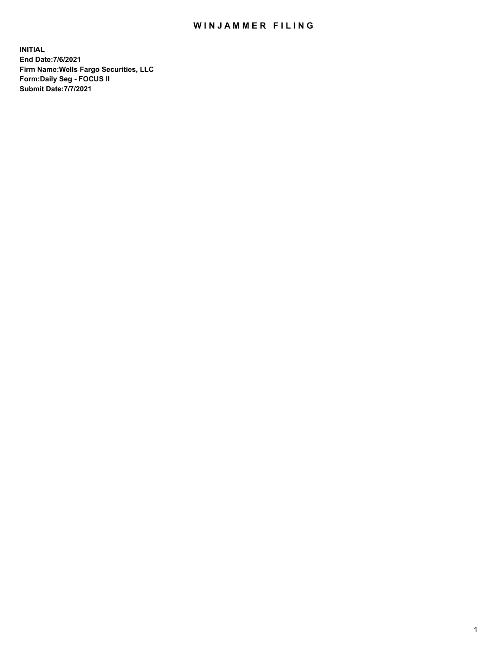## WIN JAMMER FILING

**INITIAL End Date:7/6/2021 Firm Name:Wells Fargo Securities, LLC Form:Daily Seg - FOCUS II Submit Date:7/7/2021**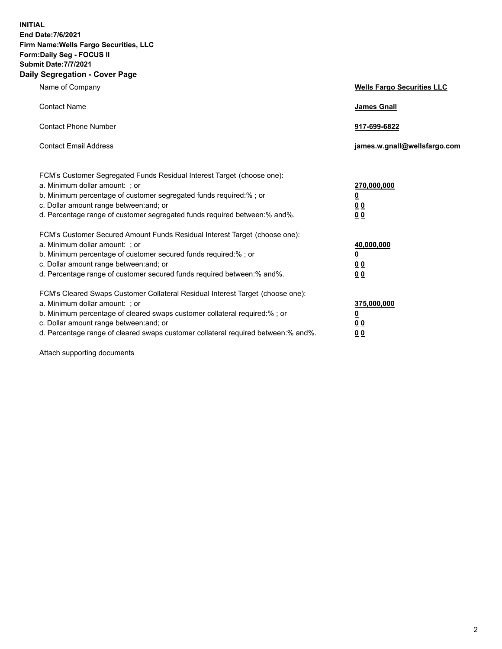**INITIAL End Date:7/6/2021 Firm Name:Wells Fargo Securities, LLC Form:Daily Seg - FOCUS II Submit Date:7/7/2021 Daily Segregation - Cover Page**

| Name of Company                                                                                                                                                                                                                                                                                                                | <b>Wells Fargo Securities LLC</b>               |
|--------------------------------------------------------------------------------------------------------------------------------------------------------------------------------------------------------------------------------------------------------------------------------------------------------------------------------|-------------------------------------------------|
| <b>Contact Name</b>                                                                                                                                                                                                                                                                                                            | <b>James Gnall</b>                              |
| <b>Contact Phone Number</b>                                                                                                                                                                                                                                                                                                    | 917-699-6822                                    |
| <b>Contact Email Address</b>                                                                                                                                                                                                                                                                                                   | james.w.gnall@wellsfargo.com                    |
| FCM's Customer Segregated Funds Residual Interest Target (choose one):<br>a. Minimum dollar amount: ; or<br>b. Minimum percentage of customer segregated funds required:% ; or<br>c. Dollar amount range between: and; or<br>d. Percentage range of customer segregated funds required between:% and%.                         | 270,000,000<br><u>0</u><br>00<br>0 <sub>0</sub> |
| FCM's Customer Secured Amount Funds Residual Interest Target (choose one):<br>a. Minimum dollar amount: ; or<br>b. Minimum percentage of customer secured funds required:%; or<br>c. Dollar amount range between: and; or<br>d. Percentage range of customer secured funds required between:% and%.                            | 40,000,000<br><u>0</u><br>00<br>0 <sub>0</sub>  |
| FCM's Cleared Swaps Customer Collateral Residual Interest Target (choose one):<br>a. Minimum dollar amount: ; or<br>b. Minimum percentage of cleared swaps customer collateral required:% ; or<br>c. Dollar amount range between: and; or<br>d. Percentage range of cleared swaps customer collateral required between:% and%. | 375,000,000<br><u>0</u><br>0 <sub>0</sub><br>00 |

Attach supporting documents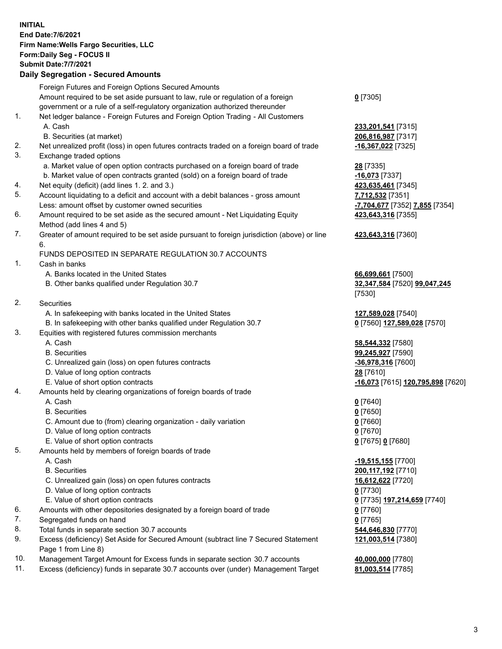**INITIAL End Date:7/6/2021 Firm Name:Wells Fargo Securities, LLC Form:Daily Seg - FOCUS II Submit Date:7/7/2021 Daily Segregation - Secured Amounts** Foreign Futures and Foreign Options Secured Amounts Amount required to be set aside pursuant to law, rule or regulation of a foreign government or a rule of a self-regulatory organization authorized thereunder 1. Net ledger balance - Foreign Futures and Foreign Option Trading - All Customers A. Cash **233,201,541** [7315]

- 2. Net unrealized profit (loss) in open futures contracts traded on a foreign board of trade **-16,367,022** [7325]
- 3. Exchange traded options
	- a. Market value of open option contracts purchased on a foreign board of trade **28** [7335]
	- b. Market value of open contracts granted (sold) on a foreign board of trade **-16,073** [7337]
- 4. Net equity (deficit) (add lines 1. 2. and 3.) **423,635,461** [7345]
- 5. Account liquidating to a deficit and account with a debit balances gross amount **7,712,532** [7351] Less: amount offset by customer owned securities **-7,704,677** [7352] **7,855** [7354]
- 6. Amount required to be set aside as the secured amount Net Liquidating Equity Method (add lines 4 and 5)
- 7. Greater of amount required to be set aside pursuant to foreign jurisdiction (above) or line 6.

## FUNDS DEPOSITED IN SEPARATE REGULATION 30.7 ACCOUNTS

- 1. Cash in banks
	- A. Banks located in the United States **66,699,661** [7500]
	- B. Other banks qualified under Regulation 30.7 **32,347,584** [7520] **99,047,245**
- 2. Securities
	- A. In safekeeping with banks located in the United States **127,589,028** [7540]
- B. In safekeeping with other banks qualified under Regulation 30.7 **0** [7560] **127,589,028** [7570]
- 3. Equities with registered futures commission merchants
	-
	-
	- C. Unrealized gain (loss) on open futures contracts **-36,978,316** [7600]
	- D. Value of long option contracts **28** [7610]
	-
- 4. Amounts held by clearing organizations of foreign boards of trade
	- A. Cash **0** [7640]
	- B. Securities **0** [7650]
	- C. Amount due to (from) clearing organization daily variation **0** [7660]
	- D. Value of long option contracts **0** [7670]
	- E. Value of short option contracts **0** [7675] **0** [7680]
- 5. Amounts held by members of foreign boards of trade
	-
	-
	- C. Unrealized gain (loss) on open futures contracts **16,612,622** [7720]
	- D. Value of long option contracts **0** [7730]
	- E. Value of short option contracts **0** [7735] **197,214,659** [7740]
- 6. Amounts with other depositories designated by a foreign board of trade **0** [7760]
- 7. Segregated funds on hand **0** [7765]
- 8. Total funds in separate section 30.7 accounts **544,646,830** [7770]
- 9. Excess (deficiency) Set Aside for Secured Amount (subtract line 7 Secured Statement Page 1 from Line 8)
- 10. Management Target Amount for Excess funds in separate section 30.7 accounts **40,000,000** [7780]
- 11. Excess (deficiency) funds in separate 30.7 accounts over (under) Management Target **81,003,514** [7785]
- **0** [7305]
- B. Securities (at market) **206,816,987** [7317]
	- **423,643,316** [7355]
	- **423,643,316** [7360]
	- [7530]
	-
- A. Cash **58,544,332** [7580] B. Securities **99,245,927** [7590] E. Value of short option contracts **-16,073** [7615] **120,795,898** [7620]
	-
- A. Cash **-19,515,155** [7700] B. Securities **200,117,192** [7710] **121,003,514** [7380]
	-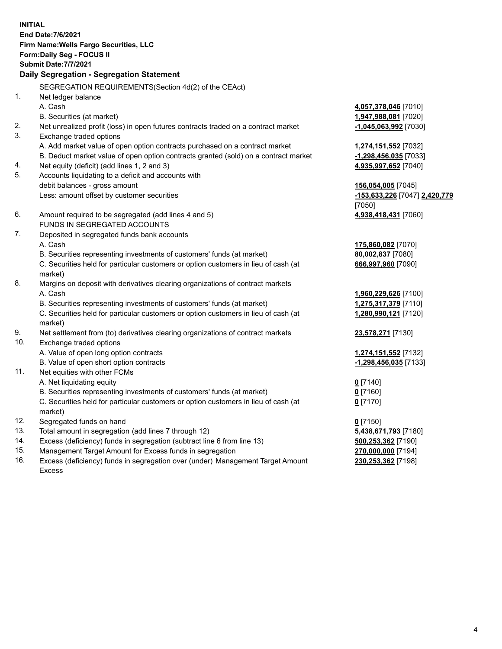**INITIAL End Date:7/6/2021 Firm Name:Wells Fargo Securities, LLC Form:Daily Seg - FOCUS II Submit Date:7/7/2021 Daily Segregation - Segregation Statement** SEGREGATION REQUIREMENTS(Section 4d(2) of the CEAct) 1. Net ledger balance A. Cash **4,057,378,046** [7010] B. Securities (at market) **1,947,988,081** [7020] 2. Net unrealized profit (loss) in open futures contracts traded on a contract market **-1,045,063,992** [7030] 3. Exchange traded options A. Add market value of open option contracts purchased on a contract market **1,274,151,552** [7032] B. Deduct market value of open option contracts granted (sold) on a contract market **-1,298,456,035** [7033] 4. Net equity (deficit) (add lines 1, 2 and 3) **4,935,997,652** [7040] 5. Accounts liquidating to a deficit and accounts with debit balances - gross amount **156,054,005** [7045] Less: amount offset by customer securities **-153,633,226** [7047] **2,420,779** [7050] 6. Amount required to be segregated (add lines 4 and 5) **4,938,418,431** [7060] FUNDS IN SEGREGATED ACCOUNTS 7. Deposited in segregated funds bank accounts A. Cash **175,860,082** [7070] B. Securities representing investments of customers' funds (at market) **80,002,837** [7080] C. Securities held for particular customers or option customers in lieu of cash (at market) **666,997,960** [7090] 8. Margins on deposit with derivatives clearing organizations of contract markets A. Cash **1,960,229,626** [7100] B. Securities representing investments of customers' funds (at market) **1,275,317,379** [7110] C. Securities held for particular customers or option customers in lieu of cash (at market) **1,280,990,121** [7120] 9. Net settlement from (to) derivatives clearing organizations of contract markets **23,578,271** [7130] 10. Exchange traded options A. Value of open long option contracts **1,274,151,552** [7132] B. Value of open short option contracts **-1,298,456,035** [7133] 11. Net equities with other FCMs A. Net liquidating equity **0** [7140] B. Securities representing investments of customers' funds (at market) **0** [7160] C. Securities held for particular customers or option customers in lieu of cash (at market) **0** [7170] 12. Segregated funds on hand **0** [7150] 13. Total amount in segregation (add lines 7 through 12) **5,438,671,793** [7180] 14. Excess (deficiency) funds in segregation (subtract line 6 from line 13) **500,253,362** [7190] 15. Management Target Amount for Excess funds in segregation **270,000,000** [7194] **230,253,362** [7198]

16. Excess (deficiency) funds in segregation over (under) Management Target Amount Excess